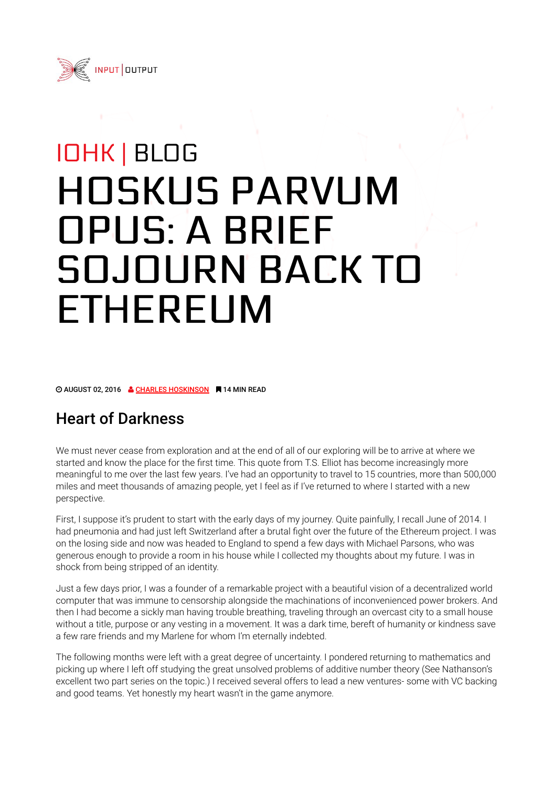

# IOHK | BLOG HOSKUS PARVUM OPUS: A BRIEF SOJOURN BACK TO ETHEREUM

© AUGUST 02, 2016 & CHARLES HOSKINSON ■ 14 MIN READ

# Heart of Darkness

We must never cease from exploration and at the end of all of our exploring will be to arrive at where we started and know the place for the first time. This quote from T.S. Elliot has become increasingly more meaningful to me over the last few years. I've had an opportunity to travel to 15 countries, more than 500,000 miles and meet thousands of amazing people, yet I feel as if I've returned to where I started with a new perspective.

First, I suppose it's prudent to start with the early days of my journey. Quite painfully, I recall June of 2014. I had pneumonia and had just left Switzerland after a brutal fight over the future of the Ethereum project. I was on the losing side and now was headed to England to spend a few days with Michael Parsons, who was generous enough to provide a room in his house while I collected my thoughts about my future. I was in shock from being stripped of an identity.

Just a few days prior, I was a founder of a remarkable project with a beautiful vision of a decentralized world computer that was immune to censorship alongside the machinations of inconvenienced power brokers. And then I had become a sickly man having trouble breathing, traveling through an overcast city to a small house without a title, purpose or any vesting in a movement. It was a dark time, bereft of humanity or kindness save a few rare friends and my Marlene for whom I'm eternally indebted.

The following months were left with a great degree of uncertainty. I pondered returning to mathematics and picking up where I left off studying the great unsolved problems of additive number theory (See Nathanson's excellent two part series on the topic.) I received several offers to lead a new ventures- some with VC backing and good teams. Yet honestly my heart wasn't in the game anymore.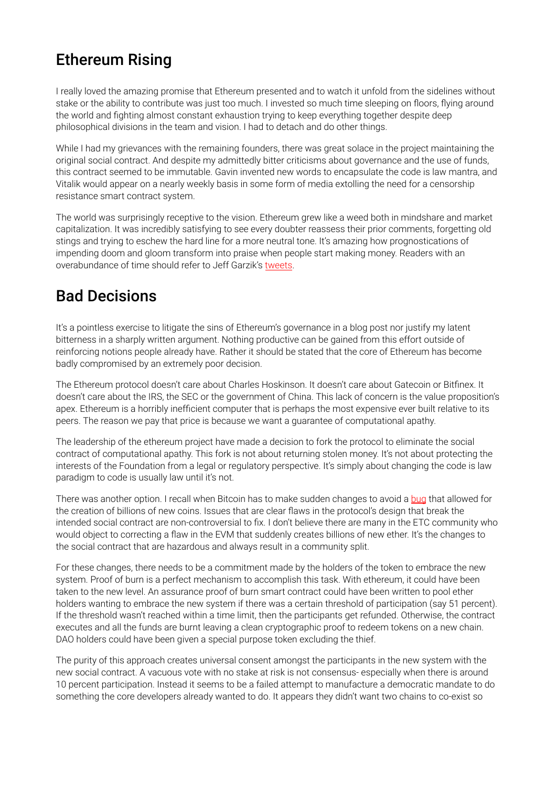# Ethereum Rising

I really loved the amazing promise that Ethereum presented and to watch it unfold from the sidelines without stake or the ability to contribute was just too much. I invested so much time sleeping on floors, flying around the world and fighting almost constant exhaustion trying to keep everything together despite deep philosophical divisions in the team and vision. I had to detach and do other things.

While I had my grievances with the remaining founders, there was great solace in the project maintaining the original social contract. And despite my admittedly bitter criticisms about governance and the use of funds, this contract seemed to be immutable. Gavin invented new words to encapsulate the code is law mantra, and Vitalik would appear on a nearly weekly basis in some form of media extolling the need for a censorship resistance smart contract system.

The world was surprisingly receptive to the vision. Ethereum grew like a weed both in mindshare and market capitalization. It was incredibly satisfying to see every doubter reassess their prior comments, forgetting old stings and trying to eschew the hard line for a more neutral tone. It's amazing how prognostications of impending doom and gloom transform into praise when people start making money. Readers with an overabundance of time should refer to Jeff Garzik's tweets.

#### Bad Decisions

It's a pointless exercise to litigate the sins of Ethereum's governance in a blog post nor justify my latent bitterness in a sharply written argument. Nothing productive can be gained from this effort outside of reinforcing notions people already have. Rather it should be stated that the core of Ethereum has become badly compromised by an extremely poor decision.

The Ethereum protocol doesn't care about Charles Hoskinson. It doesn't care about Gatecoin or Bitfinex. It doesn't care about the IRS, the SEC or the government of China. This lack of concern is the value proposition's apex. Ethereum is a horribly inefficient computer that is perhaps the most expensive ever built relative to its peers. The reason we pay that price is because we want a guarantee of computational apathy.

The leadership of the ethereum project have made a decision to fork the protocol to eliminate the social contract of computational apathy. This fork is not about returning stolen money. It's not about protecting the interests of the Foundation from a legal or regulatory perspective. It's simply about changing the code is law paradigm to code is usually law until it's not.

There was another option. I recall when Bitcoin has to make sudden changes to avoid a bug that allowed for the creation of billions of new coins. Issues that are clear flaws in the protocol's design that break the intended social contract are non-controversial to fix. I don't believe there are many in the ETC community who would object to correcting a flaw in the EVM that suddenly creates billions of new ether. It's the changes to the social contract that are hazardous and always result in a community split.

For these changes, there needs to be a commitment made by the holders of the token to embrace the new system. Proof of burn is a perfect mechanism to accomplish this task. With ethereum, it could have been taken to the new level. An assurance proof of burn smart contract could have been written to pool ether holders wanting to embrace the new system if there was a certain threshold of participation (say 51 percent). If the threshold wasn't reached within a time limit, then the participants get refunded. Otherwise, the contract executes and all the funds are burnt leaving a clean cryptographic proof to redeem tokens on a new chain. DAO holders could have been given a special purpose token excluding the thief.

The purity of this approach creates universal consent amongst the participants in the new system with the new social contract. A vacuous vote with no stake at risk is not consensus- especially when there is around 10 percent participation. Instead it seems to be a failed attempt to manufacture a democratic mandate to do something the core developers already wanted to do. It appears they didn't want two chains to co-exist so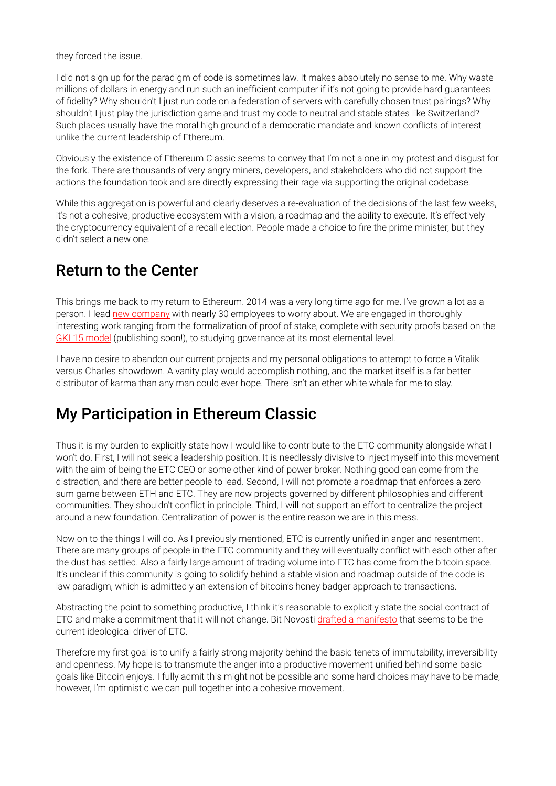they forced the issue.

I did not sign up for the paradigm of code is sometimes law. It makes absolutely no sense to me. Why waste millions of dollars in energy and run such an inefficient computer if it's not going to provide hard guarantees of fidelity? Why shouldn't I just run code on a federation of servers with carefully chosen trust pairings? Why shouldn't I just play the jurisdiction game and trust my code to neutral and stable states like Switzerland? Such places usually have the moral high ground of a democratic mandate and known conflicts of interest unlike the current leadership of Ethereum.

Obviously the existence of Ethereum Classic seems to convey that I'm not alone in my protest and disgust for the fork. There are thousands of very angry miners, developers, and stakeholders who did not support the actions the foundation took and are directly expressing their rage via supporting the original codebase.

While this aggregation is powerful and clearly deserves a re-evaluation of the decisions of the last few weeks, it's not a cohesive, productive ecosystem with a vision, a roadmap and the ability to execute. It's effectively the cryptocurrency equivalent of a recall election. People made a choice to fire the prime minister, but they didn't select a new one.

#### Return to the Center

This brings me back to my return to Ethereum. 2014 was a very long time ago for me. I've grown a lot as a person. I lead new company with nearly 30 employees to worry about. We are engaged in thoroughly interesting work ranging from the formalization of proof of stake, complete with security proofs based on the GKL15 model (publishing soon!), to studying governance at its most elemental level.

I have no desire to abandon our current projects and my personal obligations to attempt to force a Vitalik versus Charles showdown. A vanity play would accomplish nothing, and the market itself is a far better distributor of karma than any man could ever hope. There isn't an ether white whale for me to slay.

# My Participation in Ethereum Classic

Thus it is my burden to explicitly state how I would like to contribute to the ETC community alongside what I won't do. First, I will not seek a leadership position. It is needlessly divisive to inject myself into this movement with the aim of being the ETC CEO or some other kind of power broker. Nothing good can come from the distraction, and there are better people to lead. Second, I will not promote a roadmap that enforces a zero sum game between ETH and ETC. They are now projects governed by different philosophies and different communities. They shouldn't conflict in principle. Third, I will not support an effort to centralize the project around a new foundation. Centralization of power is the entire reason we are in this mess.

Now on to the things I will do. As I previously mentioned, ETC is currently unified in anger and resentment. There are many groups of people in the ETC community and they will eventually conflict with each other after the dust has settled. Also a fairly large amount of trading volume into ETC has come from the bitcoin space. It's unclear if this community is going to solidify behind a stable vision and roadmap outside of the code is law paradigm, which is admittedly an extension of bitcoin's honey badger approach to transactions.

Abstracting the point to something productive, I think it's reasonable to explicitly state the social contract of ETC and make a commitment that it will not change. Bit Novosti drafted a manifesto that seems to be the current ideological driver of ETC.

Therefore my first goal is to unify a fairly strong majority behind the basic tenets of immutability, irreversibility and openness. My hope is to transmute the anger into a productive movement unified behind some basic goals like Bitcoin enjoys. I fully admit this might not be possible and some hard choices may have to be made; however, I'm optimistic we can pull together into a cohesive movement.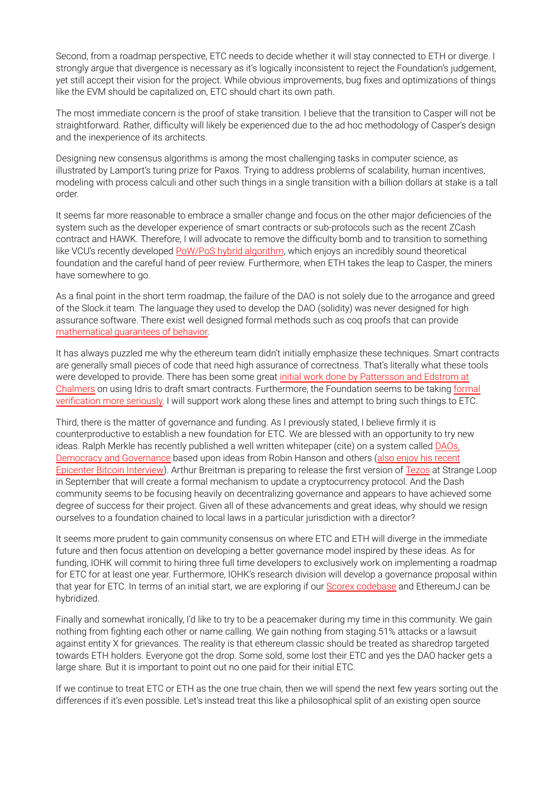Second, from a roadmap perspective, ETC needs to decide whether it will stay connected to ETH or diverge. I strongly argue that divergence is necessary as it's logically inconsistent to reject the Foundation's judgement, yet still accept their vision for the project. While obvious improvements, bug fixes and optimizations of things like the EVM should be capitalized on, ETC should chart its own path.

The most immediate concern is the proof of stake transition. I believe that the transition to Casper will not be straightforward. Rather, difficulty will likely be experienced due to the ad hoc methodology of Casper's design and the inexperience of its architects.

Designing new consensus algorithms is among the most challenging tasks in computer science, as illustrated by Lamport's turing prize for Paxos. Trying to address problems of scalability, human incentives, modeling with process calculi and other such things in a single transition with a billion dollars at stake is a tall order.

It seems far more reasonable to embrace a smaller change and focus on the other major deficiencies of the system such as the developer experience of smart contracts or sub-protocols such as the recent ZCash contract and HAWK. Therefore, I will advocate to remove the difficulty bomb and to transition to something like VCU's recently developed PoW/PoS hybrid algorithm, which enjoys an incredibly sound theoretical foundation and the careful hand of peer review. Furthermore, when ETH takes the leap to Casper, the miners have somewhere to go.

As a final point in the short term roadmap, the failure of the DAO is not solely due to the arrogance and greed of the Slock.it team. The language they used to develop the DAO (solidity) was never designed for high assurance software. There exist well designed formal methods such as coq proofs that can provide mathematical guarantees of behavior.

It has always puzzled me why the ethereum team didn't initially emphasize these techniques. Smart contracts are generally small pieces of code that need high assurance of correctness. That's literally what these tools were developed to provide. There has been some great initial work done by Pattersson and Edstrom at Chalmers on using Idris to draft smart contracts. Furthermore, the Foundation seems to be taking formal verification more seriously. I will support work along these lines and attempt to bring such things to ETC.

Third, there is the matter of governance and funding. As I previously stated, I believe firmly it is counterproductive to establish a new foundation for ETC. We are blessed with an opportunity to try new ideas. Ralph Merkle has recently published a well written whitepaper (cite) on a system called DAOs, Democracy and Governance based upon ideas from Robin Hanson and others (also enjoy his recent Epicenter Bitcoin Interview). Arthur Breitman is preparing to release the first version of Tezos at Strange Loop in September that will create a formal mechanism to update a cryptocurrency protocol. And the Dash community seems to be focusing heavily on decentralizing governance and appears to have achieved some degree of success for their project. Given all of these advancements and great ideas, why should we resign ourselves to a foundation chained to local laws in a particular jurisdiction with a director?

It seems more prudent to gain community consensus on where ETC and ETH will diverge in the immediate future and then focus attention on developing a better governance model inspired by these ideas. As for funding, IOHK will commit to hiring three full time developers to exclusively work on implementing a roadmap for ETC for at least one year. Furthermore, IOHK's research division will develop a governance proposal within that year for ETC. In terms of an initial start, we are exploring if our Scorex codebase and EthereumJ can be hybridized.

Finally and somewhat ironically, I'd like to try to be a peacemaker during my time in this community. We gain nothing from fighting each other or name calling. We gain nothing from staging 51% attacks or a lawsuit against entity X for grievances. The reality is that ethereum classic should be treated as sharedrop targeted towards ETH holders. Everyone got the drop. Some sold, some lost their ETC and yes the DAO hacker gets a large share. But it is important to point out no one paid for their initial ETC.

If we continue to treat ETC or ETH as the one true chain, then we will spend the next few years sorting out the differences if it's even possible. Let's instead treat this like a philosophical split of an existing open source